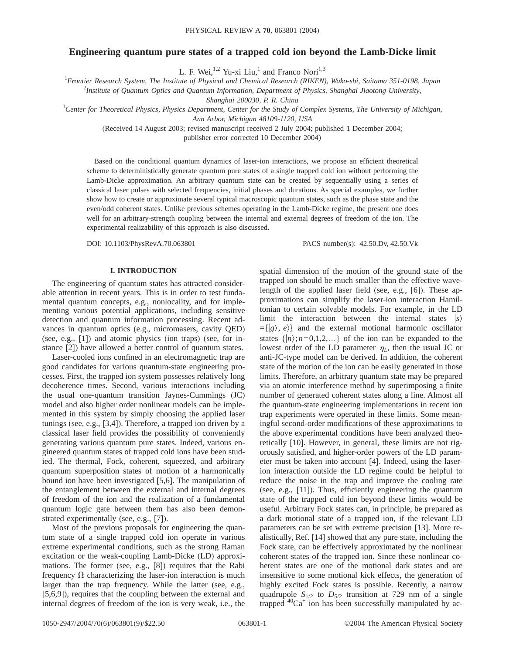# **Engineering quantum pure states of a trapped cold ion beyond the Lamb-Dicke limit**

L. F. Wei,<sup>1,2</sup> Yu-xi Liu,<sup>1</sup> and Franco Nori<sup>1,3</sup>

1 *Frontier Research System, The Institute of Physical and Chemical Research (RIKEN), Wako-shi, Saitama 351-0198, Japan*

2 *Institute of Quantum Optics and Quantum Information, Department of Physics, Shanghai Jiaotong University,*

*Shanghai 200030, P. R. China*

3 *Center for Theoretical Physics, Physics Department, Center for the Study of Complex Systems, The University of Michigan, Ann Arbor, Michigan 48109-1120, USA*

(Received 14 August 2003; revised manuscript received 2 July 2004; published 1 December 2004;

publisher error corrected 10 December 2004)

Based on the conditional quantum dynamics of laser-ion interactions, we propose an efficient theoretical scheme to deterministically generate quantum pure states of a single trapped cold ion without performing the Lamb-Dicke approximation. An arbitrary quantum state can be created by sequentially using a series of classical laser pulses with selected frequencies, initial phases and durations. As special examples, we further show how to create or approximate several typical macroscopic quantum states, such as the phase state and the even/odd coherent states. Unlike previous schemes operating in the Lamb-Dicke regime, the present one does well for an arbitrary-strength coupling between the internal and external degrees of freedom of the ion. The experimental realizability of this approach is also discussed.

DOI: 10.1103/PhysRevA.70.063801 PACS number(s): 42.50.Dv, 42.50.Vk

### **I. INTRODUCTION**

The engineering of quantum states has attracted considerable attention in recent years. This is in order to test fundamental quantum concepts, e.g., nonlocality, and for implementing various potential applications, including sensitive detection and quantum information processing. Recent advances in quantum optics (e.g., micromasers, cavity QED) (see, e.g., [1]) and atomic physics (ion traps) (see, for instance [2]) have allowed a better control of quantum states.

Laser-cooled ions confined in an electromagnetic trap are good candidates for various quantum-state engineering processes. First, the trapped ion system possesses relatively long decoherence times. Second, various interactions including the usual one-quantum transition Jaynes-Cummings (JC) model and also higher order nonlinear models can be implemented in this system by simply choosing the applied laser tunings (see, e.g., [3,4]). Therefore, a trapped ion driven by a classical laser field provides the possibility of conveniently generating various quantum pure states. Indeed, various engineered quantum states of trapped cold ions have been studied. The thermal, Fock, coherent, squeezed, and arbitrary quantum superposition states of motion of a harmonically bound ion have been investigated [5,6]. The manipulation of the entanglement between the external and internal degrees of freedom of the ion and the realization of a fundamental quantum logic gate between them has also been demonstrated experimentally (see, e.g., [7]).

Most of the previous proposals for engineering the quantum state of a single trapped cold ion operate in various extreme experimental conditions, such as the strong Raman excitation or the weak-coupling Lamb-Dicke (LD) approximations. The former (see, e.g., [8]) requires that the Rabi frequency  $\Omega$  characterizing the laser-ion interaction is much larger than the trap frequency. While the latter (see, e.g., [5,6,9]), requires that the coupling between the external and internal degrees of freedom of the ion is very weak, i.e., the spatial dimension of the motion of the ground state of the trapped ion should be much smaller than the effective wavelength of the applied laser field (see, e.g., [6]). These approximations can simplify the laser-ion interaction Hamiltonian to certain solvable models. For example, in the LD limit the interaction between the internal states  $|s\rangle$  $=\{|g\rangle, |e\rangle\}$  and the external motional harmonic oscillator states  $\{|n\rangle; n=0,1,2,...\}$  of the ion can be expanded to the lowest order of the LD parameter  $\eta_L$ , then the usual JC or anti-JC-type model can be derived. In addition, the coherent state of the motion of the ion can be easily generated in those limits. Therefore, an arbitrary quantum state may be prepared via an atomic interference method by superimposing a finite number of generated coherent states along a line. Almost all the quantum-state engineering implementations in recent ion trap experiments were operated in these limits. Some meaningful second-order modifications of these approximations to the above experimental conditions have been analyzed theoretically [10]. However, in general, these limits are not rigorously satisfied, and higher-order powers of the LD parameter must be taken into account [4]. Indeed, using the laserion interaction outside the LD regime could be helpful to reduce the noise in the trap and improve the cooling rate (see, e.g., [11]). Thus, efficiently engineering the quantum state of the trapped cold ion beyond these limits would be useful. Arbitrary Fock states can, in principle, be prepared as a dark motional state of a trapped ion, if the relevant LD parameters can be set with extreme precision [13]. More realistically, Ref. [14] showed that any pure state, including the Fock state, can be effectively approximated by the nonlinear coherent states of the trapped ion. Since these nonlinear coherent states are one of the motional dark states and are insensitive to some motional kick effects, the generation of highly excited Fock states is possible. Recently, a narrow quadrupole  $S_{1/2}$  to  $D_{5/2}$  transition at 729 nm of a single trapped  ${}^{40}Ca<sup>+</sup>$  ion has been successfully manipulated by ac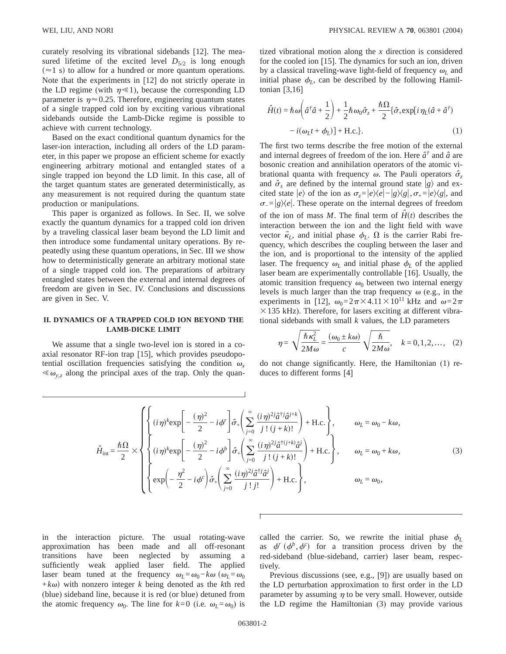curately resolving its vibrational sidebands [12]. The measured lifetime of the excited level  $D_{5/2}$  is long enough  $(\approx 1 \text{ s})$  to allow for a hundred or more quantum operations. Note that the experiments in [12] do not strictly operate in the LD regime (with  $\eta \ll 1$ ), because the corresponding LD parameter is  $\eta \approx 0.25$ . Therefore, engineering quantum states of a single trapped cold ion by exciting various vibrational sidebands outside the Lamb-Dicke regime is possible to achieve with current technology.

Based on the exact conditional quantum dynamics for the laser-ion interaction, including all orders of the LD parameter, in this paper we propose an efficient scheme for exactly engineering arbitrary motional and entangled states of a single trapped ion beyond the LD limit. In this case, all of the target quantum states are generated deterministically, as any measurement is not required during the quantum state production or manipulations.

This paper is organized as follows. In Sec. II, we solve exactly the quantum dynamics for a trapped cold ion driven by a traveling classical laser beam beyond the LD limit and then introduce some fundamental unitary operations. By repeatedly using these quantum operations, in Sec. III we show how to deterministically generate an arbitrary motional state of a single trapped cold ion. The preparations of arbitrary entangled states between the external and internal degrees of freedom are given in Sec. IV. Conclusions and discussions are given in Sec. V.

### **II. DYNAMICS OF A TRAPPED COLD ION BEYOND THE LAMB-DICKE LIMIT**

We assume that a single two-level ion is stored in a coaxial resonator RF-ion trap [15], which provides pseudopotential oscillation frequencies satisfying the condition  $\omega$ <sub>x</sub>  $\ll \omega_{v,z}$  along the principal axes of the trap. Only the quantized vibrational motion along the *x* direction is considered for the cooled ion [15]. The dynamics for such an ion, driven by a classical traveling-wave light-field of frequency  $\omega_L$  and initial phase  $\phi_L$ , can be described by the following Hamiltonian [3,16]

$$
\hat{H}(t) = \hbar \omega \left(\hat{a}^\dagger \hat{a} + \frac{1}{2}\right) + \frac{1}{2} \hbar \omega_0 \hat{\sigma}_z + \frac{\hbar \Omega}{2} \{\hat{\sigma}_+ \exp[i\eta_L(\hat{a} + \hat{a}^\dagger) - i(\omega_L t + \phi_L)] + \text{H.c.}\}.
$$
\n(1)

The first two terms describe the free motion of the external and internal degrees of freedom of the ion. Here  $\hat{a}^{\dagger}$  and  $\hat{a}$  are bosonic creation and annihilation operators of the atomic vibrational quanta with frequency  $\omega$ . The Pauli operators  $\hat{\sigma}_z$ and  $\hat{\sigma}_\pm$  are defined by the internal ground state  $|g\rangle$  and excited state  $|e\rangle$  of the ion as  $\sigma_z = |e\rangle\langle e| - |g\rangle\langle g|, \sigma_z = |e\rangle\langle g|$ , and  $\sigma = |g\rangle\langle e|$ . These operate on the internal degrees of freedom of the ion of mass *M*. The final term of  $H(t)$  describes the interaction between the ion and the light field with wave vector  $\vec{k}_L$ , and initial phase  $\phi_L$ .  $\Omega$  is the carrier Rabi frequency, which describes the coupling between the laser and the ion, and is proportional to the intensity of the applied laser. The frequency  $\omega_L$  and initial phase  $\phi_L$  of the applied laser beam are experimentally controllable [16]. Usually, the atomic transition frequency  $\omega_0$  between two internal energy levels is much larger than the trap frequency  $\omega$  (e.g., in the experiments in [12],  $\omega_0 = 2\pi \times 4.11 \times 10^{11}$  kHz and  $\omega = 2\pi$  $\times$  135 kHz). Therefore, for lasers exciting at different vibrational sidebands with small *k* values, the LD parameters

$$
\eta = \sqrt{\frac{\hbar \kappa_L^2}{2M\omega}} = \frac{(\omega_0 \pm k\omega)}{c} \sqrt{\frac{\hbar}{2M\omega}}, \quad k = 0, 1, 2, \dots, \quad (2)
$$

do not change significantly. Here, the Hamiltonian (1) reduces to different forms [4]

$$
\hat{H}_{int} = \frac{\hbar \Omega}{2} \times \begin{cases}\n\left\{ (i\eta)^{k} \exp\left[ -\frac{(\eta)^{2}}{2} - i\phi^{r} \right] \hat{\sigma}_{+} \left( \sum_{j=0}^{\infty} \frac{(i\eta)^{2j} \hat{a}^{\dagger j} \hat{a}^{j+k}}{j! (j+k)!} \right) + \text{H.c.} \right\}, & \omega_{L} = \omega_{0} - k\omega, \\
\left\{ (i\eta)^{k} \exp\left[ -\frac{(\eta)^{2}}{2} - i\phi^{b} \right] \hat{\sigma}_{+} \left( \sum_{j=0}^{\infty} \frac{(i\eta)^{2j} \hat{a}^{\dagger (j+k)} \hat{a}^{j}}{j! (j+k)!} \right) + \text{H.c.} \right\}, & \omega_{L} = \omega_{0} + k\omega, \\
\left\{ \exp\left( -\frac{\eta^{2}}{2} - i\phi^{c} \right) \hat{\sigma}_{+} \left( \sum_{j=0}^{\infty} \frac{(i\eta)^{2j} \hat{a}^{\dagger j} \hat{a}^{j}}{j! j!} \right) + \text{H.c.} \right\}, & \omega_{L} = \omega_{0},\n\end{cases}
$$
\n(3)

in the interaction picture. The usual rotating-wave approximation has been made and all off-resonant transitions have been neglected by assuming a sufficiently weak applied laser field. The applied laser beam tuned at the frequency  $\omega_L = \omega_0 - k\omega$  ( $\omega_L = \omega_0$  $+k\omega$ ) with nonzero integer *k* being denoted as the *k*th red (blue) sideband line, because it is red (or blue) detuned from the atomic frequency  $\omega_0$ . The line for  $k=0$  (i.e.  $\omega_L = \omega_0$ ) is called the carrier. So, we rewrite the initial phase  $\phi_L$ as  $\phi^r$  ( $\phi^b$ ,  $\phi^c$ ) for a transition process driven by the red-sideband (blue-sideband, carrier) laser beam, respectively.

Previous discussions (see, e.g., [9]) are usually based on the LD perturbation approximation to first order in the LD parameter by assuming  $\eta$  to be very small. However, outside the LD regime the Hamiltonian (3) may provide various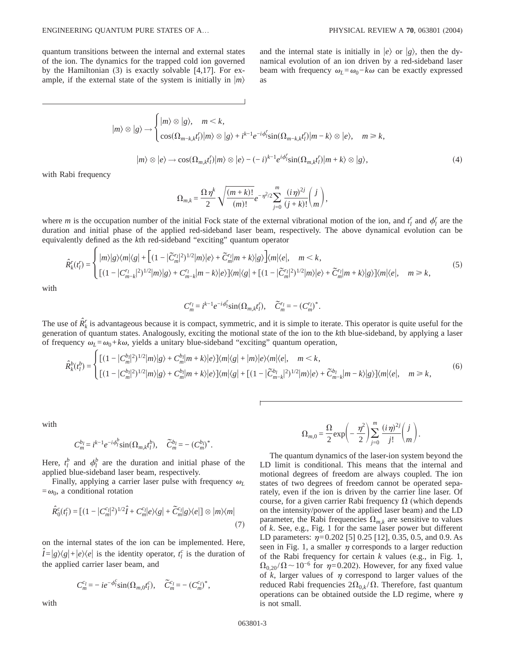quantum transitions between the internal and external states of the ion. The dynamics for the trapped cold ion governed by the Hamiltonian (3) is exactly solvable [4,17]. For example, if the external state of the system is initially in  $|m\rangle$ 

and the internal state is initially in  $|e\rangle$  or  $|g\rangle$ , then the dynamical evolution of an ion driven by a red-sideband laser beam with frequency  $ω$ <sub>*L*</sub>=ω<sub>0</sub>−*kω* can be exactly expressed as

$$
|m\rangle \otimes |g\rangle \rightarrow \begin{cases} |m\rangle \otimes |g\rangle, & m < k, \\ \cos(\Omega_{m-k,k}t'_l)|m\rangle \otimes |g\rangle + i^{k-1}e^{-i\phi_l'}\sin(\Omega_{m-k,k}t'_l)|m-k\rangle \otimes |e\rangle, & m \ge k, \\ |m\rangle \otimes |e\rangle \rightarrow \cos(\Omega_{m,k}t'_l)|m\rangle \otimes |e\rangle - (-i)^{k-1}e^{i\phi_l'}\sin(\Omega_{m,k}t'_l)|m+k\rangle \otimes |g\rangle, \end{cases}
$$
(4)

with Rabi frequency

$$
\Omega_{m,k} = \frac{\Omega \eta^k}{2} \sqrt{\frac{(m+k)!}{(m)!}} e^{-\eta^2/2} \sum_{j=0}^m \frac{(i \eta)^{2j}}{(j+k)!} \binom{j}{m},
$$

where *m* is the occupation number of the initial Fock state of the external vibrational motion of the ion, and  $t_l^r$  and  $\phi_l^r$  are the duration and initial phase of the applied red-sideband laser beam, respectively. The above dynamical evolution can be equivalently defined as the *k*th red-sideband "exciting" quantum operator

$$
\hat{R}_{k}^{r}(t_{l}^{r}) = \begin{cases} |m\rangle|g\rangle\langle m|\langle g| + \left[ (1 - |\tilde{C}_{m}^{r}|^{2})^{1/2}|m\rangle|e\rangle + \tilde{C}_{m}^{r}|m+k\rangle|g\rangle \right] \langle m|\langle e|, & m < k, \\ \left[ (1 - |C_{m-k}^{r}|^{2})^{1/2}|m\rangle|g\rangle + C_{m-k}^{r}|m-k\rangle|e\rangle \right] \langle m|\langle g| + \left[ (1 - |\tilde{C}_{m}^{r}|^{2})^{1/2}|m\rangle|e\rangle + \tilde{C}_{m}^{r}|m+k\rangle|g\rangle \right] \langle m|\langle e|, & m \ge k, \end{cases}
$$
\n(5)

with

$$
C_m^{r_l} = i^{k-1} e^{-i \phi_l^r} \sin(\Omega_{m,k} t_l^r), \quad \widetilde{C}_m^{r_l} = - (C_m^{r_l})^*.
$$

The use of  $\hat{R}_k^r$  is advantageous because it is compact, symmetric, and it is simple to iterate. This operator is quite useful for the generation of quantum states. Analogously, exciting the motional state of the ion to the *k*th blue-sideband, by applying a laser of frequency  $\omega_L = \omega_0 + k\omega$ , yields a unitary blue-sideband "exciting" quantum operation,

$$
\hat{R}_{k}^{b}(t_{l}^{b}) = \begin{cases}\n\left[ (1 - |C_{m}^{b}|^{2})^{1/2} |m\rangle|g\rangle + C_{m}^{b_{l}} |m+k\rangle|e\rangle \right] \langle m|\langle g| + |m\rangle|e\rangle \langle m|\langle e|, & m < k, \\
\left[ (1 - |C_{m}^{b_{l}}|^{2})^{1/2} |m\rangle|g\rangle + C_{m}^{b_{l}} |m+k\rangle|e\rangle \right] \langle m|\langle g| + \left[ (1 - |\widetilde{C}_{m-k}^{b_{l}}|^{2})^{1/2} |m\rangle|e\rangle + \widetilde{C}_{m-k}^{b_{l}} |m-k\rangle|g\rangle \right] \langle m|\langle e|, & m \ge k,\n\end{cases}
$$
\n(6)

with

$$
C_m^{b_l} = i^{k-1} e^{-i \phi_l^b} \sin(\Omega_{m,k} t_l^b), \quad \tilde{C}_m^{b_l} = - (C_m^{b_l})^*.
$$

Here,  $t_l^b$  and  $\phi_l^b$  are the duration and initial phase of the applied blue-sideband laser beam, respectively.

Finally, applying a carrier laser pulse with frequency  $\omega_L$  $=\omega_0$ , a conditional rotation

$$
\hat{R}_0^c(t_l^c) = \left[ (1 - |C_m^{c_l}|^2)^{1/2} \hat{I} + C_m^{c_l}|e\rangle\langle g| + \tilde{C}_m^{c_l}|g\rangle\langle e| \right] \otimes |m\rangle\langle m| \tag{7}
$$

on the internal states of the ion can be implemented. Here,  $\hat{I} = |g\rangle\langle g| + |e\rangle\langle e|$  is the identity operator,  $t_l^c$  is the duration of the applied carrier laser beam, and

$$
C_m^{c_l} = -ie^{-\phi_l^c} \sin(\Omega_{m,0}t_l^c), \quad \tilde{C}_m^{c_l} = -\left(C_m^{c_l}\right)^*,
$$

 $\Omega_{m,0} = \frac{\Omega}{2} \exp\left(-\frac{\eta^2}{2}\right) \sum_{j=0}^m$  $\sum_{j=0}^{m} \frac{(i \eta)^{2j}}{j!} \binom{j}{m}.$ 

The quantum dynamics of the laser-ion system beyond the LD limit is conditional. This means that the internal and motional degrees of freedom are always coupled. The ion states of two degrees of freedom cannot be operated separately, even if the ion is driven by the carrier line laser. Of course, for a given carrier Rabi frequency  $\Omega$  (which depends on the intensity/power of the applied laser beam) and the LD parameter, the Rabi frequencies  $\Omega_{m,k}$  are sensitive to values of *k*. See, e.g., Fig. 1 for the same laser power but different LD parameters:  $\eta$ =0.202 [5] 0.25 [12], 0.35, 0.5, and 0.9. As seen in Fig. 1, a smaller  $\eta$  corresponds to a larger reduction of the Rabi frequency for certain *k* values (e.g., in Fig. 1,  $\Omega_{0.20} / \Omega \sim 10^{-6}$  for  $\eta$ =0.202). However, for any fixed value of  $k$ , larger values of  $\eta$  correspond to larger values of the reduced Rabi frequencies  $2\Omega_{0,k}/\Omega$ . Therefore, fast quantum operations can be obtained outside the LD regime, where  $\eta$ is not small.

with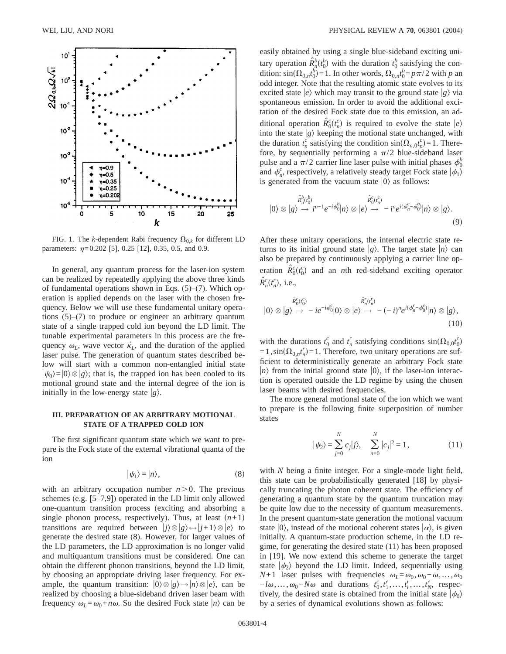

FIG. 1. The *k*-dependent Rabi frequency  $\Omega_{0,k}$  for different LD parameters:  $\eta$ =0.202 [5], 0.25 [12], 0.35, 0.5, and 0.9.

In general, any quantum process for the laser-ion system can be realized by repeatedly applying the above three kinds of fundamental operations shown in Eqs. (5)–(7). Which operation is applied depends on the laser with the chosen frequency. Below we will use these fundamental unitary operations (5)–(7) to produce or engineer an arbitrary quantum state of a single trapped cold ion beyond the LD limit. The tunable experimental parameters in this process are the frequency  $\omega_L$ , wave vector  $\vec{k}_L$ , and the duration of the applied laser pulse. The generation of quantum states described below will start with a common non-entangled initial state  $|\psi_0\rangle = |0\rangle \otimes |g\rangle$ ; that is, the trapped ion has been cooled to its motional ground state and the internal degree of the ion is initially in the low-energy state  $|g\rangle$ .

# **III. PREPARATION OF AN ARBITRARY MOTIONAL STATE OF A TRAPPED COLD ION**

The first significant quantum state which we want to prepare is the Fock state of the external vibrational quanta of the ion

$$
|\psi_1\rangle = |n\rangle,\tag{8}
$$

with an arbitrary occupation number  $n > 0$ . The previous schemes (e.g. [5–7,9]) operated in the LD limit only allowed one-quantum transition process (exciting and absorbing a single phonon process, respectively). Thus, at least  $(n+1)$ transitions are required between  $|j\rangle \otimes |g\rangle \leftrightarrow |j\pm 1\rangle \otimes |e\rangle$  to generate the desired state (8). However, for larger values of the LD parameters, the LD approximation is no longer valid and multiquantum transitions must be considered. One can obtain the different phonon transitions, beyond the LD limit, by choosing an appropriate driving laser frequency. For example, the quantum transition:  $|0\rangle \otimes |g\rangle \rightarrow |n\rangle \otimes |e\rangle$ , can be realized by choosing a blue-sideband driven laser beam with frequency  $\omega_L = \omega_0 + n\omega$ . So the desired Fock state  $|n\rangle$  can be easily obtained by using a single blue-sideband exciting unitary operation  $\hat{R}_n^b(t_0^b)$  with the duration  $t_0^b$  satisfying the condition:  $\sin(\Omega_{0,n}t_0^b) = 1$ . In other words,  $\Omega_{0,n}t_0^b = p\pi/2$  with *p* an odd integer. Note that the resulting atomic state evolves to its excited state  $|e\rangle$  which may transit to the ground state  $|g\rangle$  via spontaneous emission. In order to avoid the additional excitation of the desired Fock state due to this emission, an additional operation  $\hat{R}_0^c(t_n^c)$  is required to evolve the state  $|e\rangle$ into the state  $|g\rangle$  keeping the motional state unchanged, with the duration  $t_n^c$  satisfying the condition  $sin(\Omega_{n,0}t_n^c) = 1$ . Therefore, by sequentially performing a  $\pi/2$  blue-sideband laser pulse and a  $\pi/2$  carrier line laser pulse with initial phases  $\phi_0^b$ and  $\phi_n^c$ , respectively, a relatively steady target Fock state  $|\psi_1\rangle$ is generated from the vacuum state  $|0\rangle$  as follows:

$$
|0\rangle \otimes |g\rangle \stackrel{\hat{\mathcal{R}}_n^{b}(t_0^b)}{\longrightarrow} i^{n-1} e^{-i\phi_0^b} |n\rangle \otimes |e\rangle \stackrel{\hat{\mathcal{R}}_0^{c}(t_n^c)}{\longrightarrow} -i^{n} e^{i(\phi_n^c - \phi_0^b)} |n\rangle \otimes |g\rangle.
$$
\n(9)

After these unitary operations, the internal electric state returns to its initial ground state  $|g\rangle$ . The target state  $|n\rangle$  can also be prepared by continuously applying a carrier line operation  $\hat{R}_0^c(t_0^c)$  and an *n*th red-sideband exciting operator  $\hat{R}_n^r(t_n^r)$ , i.e.,

$$
|0\rangle \otimes |g\rangle \stackrel{\hat{\kappa}_0^c(t_0^c)}{\rightarrow} -ie^{-i\phi_0^c}|0\rangle \otimes |e\rangle \stackrel{\hat{\kappa}_n^r(t_n^r)}{\rightarrow} -(-i)^n e^{i(\phi_n^r - \phi_0^c)}|n\rangle \otimes |g\rangle,
$$
\n(10)

with the durations  $t_0^c$  and  $t_n^r$  satisfying conditions  $sin(\Omega_{0,0}t_0^c)$  $=1$ ,  $\sin(\Omega_{0,n}t_n^r) = 1$ . Therefore, two unitary operations are sufficient to deterministically generate an arbitrary Fock state  $|n\rangle$  from the initial ground state  $|0\rangle$ , if the laser-ion interaction is operated outside the LD regime by using the chosen laser beams with desired frequencies.

The more general motional state of the ion which we want to prepare is the following finite superposition of number states

$$
|\psi_2\rangle = \sum_{j=0}^{N} c_j |j\rangle, \quad \sum_{n=0}^{N} |c_j|^2 = 1, \quad (11)
$$

with *N* being a finite integer. For a single-mode light field, this state can be probabilistically generated [18] by physically truncating the photon coherent state. The efficiency of generating a quantum state by the quantum truncation may be quite low due to the necessity of quantum measurements. In the present quantum-state generation the motional vacuum state  $|0\rangle$ , instead of the motional coherent states  $|\alpha\rangle$ , is given initially. A quantum-state production scheme, in the LD regime, for generating the desired state (11) has been proposed in [19]. We now extend this scheme to generate the target state  $|\psi_2\rangle$  beyond the LD limit. Indeed, sequentially using *N*+1 laser pulses with frequencies  $\omega_l = \omega_0, \omega_0 - \omega, \ldots, \omega_0$  $-l\omega, \ldots, \omega_0 - N\omega$  and durations  $t_0^c, t_1^r, \ldots, t_l^r, \ldots, t_N^r$ , respectively, the desired state is obtained from the initial state  $|\psi_0\rangle$ by a series of dynamical evolutions shown as follows: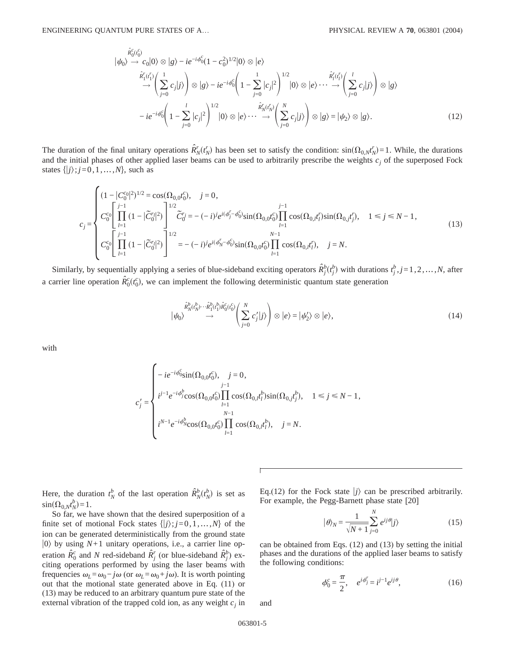$$
\hat{\kappa}_{0}^{c}(t_{0}^{c})
$$
\n
$$
|\psi_{0}\rangle \to c_{0}|0\rangle \otimes |g\rangle - ie^{-i\phi_{0}^{c}}(1-c_{0}^{2})^{1/2}|0\rangle \otimes |e\rangle
$$
\n
$$
\xrightarrow{\hat{\kappa}_{1}^{r}(t_{1}^{r})}\left(\sum_{j=0}^{1}c_{j}|j\rangle\right) \otimes |g\rangle - ie^{-i\phi_{0}^{c}}\left(1-\sum_{j=0}^{1}|c_{j}|^{2}\right)^{1/2}|0\rangle \otimes |e\rangle \cdots \to \left(\sum_{j=0}^{\hat{\kappa}_{l}^{r}(t_{l}^{r})}\left(\sum_{j=0}^{l}c_{j}|j\rangle\right) \otimes |g\rangle
$$
\n
$$
-ie^{-i\phi_{0}^{c}}\left(1-\sum_{j=0}^{l}|c_{j}|^{2}\right)^{1/2}|0\rangle \otimes |e\rangle \cdots \to \left(\sum_{j=0}^{N_{N}(t_{N}^{r})}\left(\sum_{j=0}^{N}c_{j}|j\rangle\right) \otimes |g\rangle = |\psi_{2}\rangle \otimes |g\rangle. \tag{12}
$$

The duration of the final unitary operations  $\hat{R}_N^r(t_N^r)$  has been set to satisfy the condition:  $sin(\Omega_{0,N}t_N^r)=1$ . While, the durations and the initial phases of other applied laser beams can be used to arbitrarily prescribe the weights  $c_j$  of the superposed Fock states  $\{|j\rangle; j=0,1,\ldots,N\}$ , such as

$$
c_{j} = \begin{cases} (1 - |C_{0}^{c_{0}}|^{2})^{1/2} = \cos(\Omega_{0,0}t_{0}^{c}), & j = 0, \\ C_{0}^{c_{0}} \left[ \prod_{l=1}^{j-1} (1 - |\tilde{C}_{0}^{r}|^{2}) \right]^{1/2} \tilde{C}_{0}^{r} = -(-i)^{j} e^{i(\phi_{j}^{r} - \phi_{0}^{c})} \sin(\Omega_{0,0}t_{0}^{c}) \prod_{l=1}^{j-1} \cos(\Omega_{0,l}t_{l}^{r}) \sin(\Omega_{0,j}t_{j}^{r}), & 1 \le j \le N-1, \\ C_{0}^{c_{0}} \left[ \prod_{l=1}^{j-1} (1 - |\tilde{C}_{0}^{r}|^{2}) \right]^{1/2} = -(-i)^{j} e^{i(\phi_{N}^{r} - \phi_{0}^{c})} \sin(\Omega_{0,0}t_{0}^{c}) \prod_{l=1}^{N-1} \cos(\Omega_{0,l}t_{l}^{r}), & j = N. \end{cases}
$$
\n
$$
(13)
$$

Similarly, by sequentially applying a series of blue-sideband exciting operators  $\hat{R}^b_j(t^b_j)$  with durations  $t^b_j$ ,  $j = 1, 2, ..., N$ , after a carrier line operation  $\hat{R}_0^c(t_0^c)$ , we can implement the following deterministic quantum state generation

$$
|\psi_0\rangle \stackrel{\hat{R}_N^b(t_N^b)\cdots\hat{R}_1^b(t_1^b)\hat{R}_0^c(t_0^c)}{\longrightarrow} \left(\sum_{j=0}^N c'_j|j\rangle\right) \otimes |e\rangle = |\psi_2'\rangle \otimes |e\rangle, \tag{14}
$$

with

$$
c'_{j} = \begin{cases}\n-i e^{-i \phi_{0}^{b}} \sin(\Omega_{0,0} t_{0}^{c}), & j = 0, \\
i^{j-1} e^{-i \phi_{j}^{b}} \cos(\Omega_{0,0} t_{0}^{c}) \prod_{l=1}^{j-1} \cos(\Omega_{0,l} t_{l}^{b}) \sin(\Omega_{0,j} t_{j}^{b}), & 1 \leq j \leq N-1, \\
i^{N-1} e^{-i \phi_{N}^{b}} \cos(\Omega_{0,0} t_{0}^{c}) \prod_{l=1}^{N-1} \cos(\Omega_{0,l} t_{l}^{b}), & j = N.\n\end{cases}
$$

Here, the duration  $t_N^b$  of the last operation  $\hat{R}_N^b(t_N^b)$  is set as  $\sin(\Omega_{0,N}t_N^b)=1$ .

So far, we have shown that the desired superposition of a finite set of motional Fock states  $\{|j\rangle; j=0,1,...,N\}$  of the ion can be generated deterministically from the ground state  $|0\rangle$  by using *N*+1 unitary operations, i.e., a carrier line operation  $\hat{R}_0^c$  and *N* red-sideband  $\hat{R}_j^r$  (or blue-sideband  $\hat{R}_j^b$ ) exciting operations performed by using the laser beams with frequencies  $\omega_L = \omega_0 - j\omega$  (or  $\omega_L = \omega_0 + j\omega$ ). It is worth pointing out that the motional state generated above in Eq. (11) or (13) may be reduced to an arbitrary quantum pure state of the external vibration of the trapped cold ion, as any weight  $c_j$  in Eq.(12) for the Fock state  $|j\rangle$  can be prescribed arbitrarily. For example, the Pegg-Barnett phase state [20]

$$
|\theta\rangle_N = \frac{1}{\sqrt{N+1}} \sum_{j=0}^N e^{ij\theta} |j\rangle
$$
 (15)

can be obtained from Eqs. (12) and (13) by setting the initial phases and the durations of the applied laser beams to satisfy the following conditions:

$$
\phi_0^c = \frac{\pi}{2}, \quad e^{i\phi_j^r} = i^{j-1} e^{ij\theta}, \tag{16}
$$

and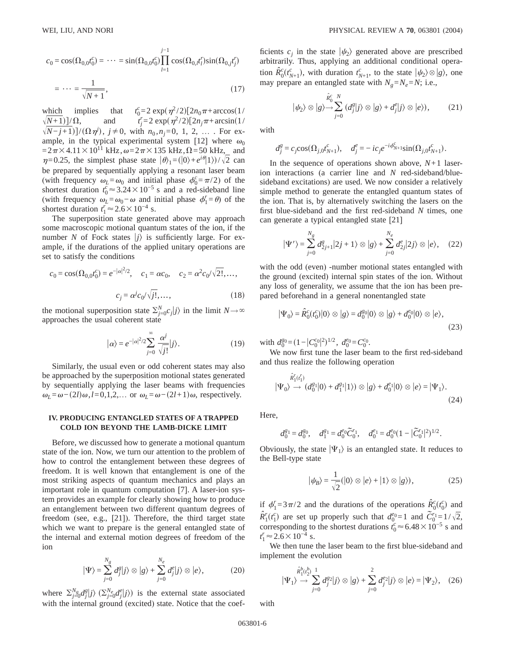$$
c_0 = \cos(\Omega_{0,0}t_0^c) = \dots = \sin(\Omega_{0,0}t_0^c) \prod_{l=1}^{j-1} \cos(\Omega_{0,l}t_l^r) \sin(\Omega_{0,j}t_j^r)
$$

$$
= \dots = \frac{1}{\sqrt{N+1}},
$$
(17)

which *implies* that  $t_0^c = 2 \exp(\eta^2/2)[2n_0\pi + \arccos(1/\pi)]$  $\sqrt{N+1}$ ]/ $\Omega$ , and  $r'_{i}$ =2 exp( $\eta^{2}/2$ )[2*n<sub>j</sub>* $\pi$ +arcsin(1/  $\sqrt{N-j+1}$ ]/( $\Omega \eta^{j}$ ),  $j \neq 0$ , with  $n_0, n_j = 0, 1, 2, ...$ . For example, in the typical experimental system [12] where  $\omega_0$  $=2\pi\times4.11\times10^{11}$  kHz,  $\omega=2\pi\times135$  kHz,  $\Omega=50$  kHz, and  $\eta=0.25$ , the simplest phase state  $|\theta\rangle_1=(|0\rangle+e^{i\theta}|1\rangle)/\sqrt{2}$  can be prepared by sequentially applying a resonant laser beam (with frequency  $\omega_L = \omega_0$  and initial phase  $\phi_0^c = \pi/2$ ) of the shortest duration  $t_0^c \approx 3.24 \times 10^{-5}$  s and a red-sideband line (with frequency  $\omega_L = \omega_0 - \omega$  and initial phase  $\phi'_1 = \theta$ ) of the shortest duration  $t_1^r \approx 2.6 \times 10^{-4}$  s.

The superposition state generated above may approach some macroscopic motional quantum states of the ion, if the number *N* of Fock states  $|j\rangle$  is sufficiently large. For example, if the durations of the applied unitary operations are set to satisfy the conditions

$$
c_0 = \cos(\Omega_{0,0}t_0^c) = e^{-|\alpha|^2/2}, \quad c_1 = \alpha c_0, \quad c_2 = \alpha^2 c_0/\sqrt{2!}, \dots,
$$

$$
c_j = \alpha^j c_0/\sqrt{j!}, \dots,
$$
(18)

the motional superposition state  $\sum_{j=0}^{N} c_j |j\rangle$  in the limit  $N \rightarrow \infty$ approaches the usual coherent state

$$
|\alpha\rangle = e^{-|\alpha|^2/2} \sum_{j=0}^{\infty} \frac{\alpha^j}{\sqrt{j!}} |j\rangle.
$$
 (19)

Similarly, the usual even or odd coherent states may also be approached by the superposition motional states generated by sequentially applying the laser beams with frequencies  $\omega_L = \omega - (2l)\omega$ , *l*=0,1,2,... or  $\omega_L = \omega - (2l+1)\omega$ , respectively.

## **IV. PRODUCING ENTANGLED STATES OF A TRAPPED COLD ION BEYOND THE LAMB-DICKE LIMIT**

Before, we discussed how to generate a motional quantum state of the ion. Now, we turn our attention to the problem of how to control the entanglement between these degrees of freedom. It is well known that entanglement is one of the most striking aspects of quantum mechanics and plays an important role in quantum computation [7]. A laser-ion system provides an example for clearly showing how to produce an entanglement between two different quantum degrees of freedom (see, e.g., [21]). Therefore, the third target state which we want to prepare is the general entangled state of the internal and external motion degrees of freedom of the ion

$$
|\Psi\rangle = \sum_{j=0}^{N_g} d_j^g |j\rangle \otimes |g\rangle + \sum_{j=0}^{N_e} d_j^e |j\rangle \otimes |e\rangle, \tag{20}
$$

where  $\sum_{j=0}^{N_g} d_j^g |j\rangle$   $(\sum_{j=0}^{N_e} d_j^e |j\rangle)$  is the external state associated with the internal ground (excited) state. Notice that the coefficients  $c_i$  in the state  $|\psi_2\rangle$  generated above are prescribed arbitrarily. Thus, applying an additional conditional operation  $\hat{R}_0^c(t_{N+1}^c)$ , with duration  $t_{N+1}^c$ , to the state  $|\psi_2\rangle \otimes |g\rangle$ , one may prepare an entangled state with  $N_g = N_e = N$ ; i.e.,

$$
|\psi_2\rangle \otimes |g\rangle \rightarrow \sum_{j=0}^{\hat{R}_0^c} (d_j^g |j\rangle \otimes |g\rangle + d_j^e |j\rangle \otimes |e\rangle), \tag{21}
$$

with

$$
d_j^g = c_j \cos(\Omega_{j,0} t_{N+1}^c), \quad d_j^e = -ic_j e^{-i\phi_{N+1}^c} \sin(\Omega_{j,0} t_{N+1}^c).
$$

In the sequence of operations shown above,  $N+1$  laserion interactions (a carrier line and *N* red-sideband/bluesideband excitations) are used. We now consider a relatively simple method to generate the entangled quantum states of the ion. That is, by alternatively switching the lasers on the first blue-sideband and the first red-sideband *N* times, one can generate a typical entangled state [21]

$$
|\Psi'\rangle = \sum_{j=0}^{N_g} d_{2j+1}^g |2j+1\rangle \otimes |g\rangle + \sum_{j=0}^{N_e} d_{2j}^e |2j\rangle \otimes |e\rangle, \quad (22)
$$

with the odd (even) -number motional states entangled with the ground (excited) internal spin states of the ion. Without any loss of generality, we assume that the ion has been prepared beforehand in a general nonentangled state

$$
|\Psi_0\rangle = \hat{R}_0^c(t_0^c)|0\rangle \otimes |g\rangle = d_0^{g_0}|0\rangle \otimes |g\rangle + d_0^{g_0}|0\rangle \otimes |e\rangle,
$$
\n(23)

with  $d_0^{g_0} = (1 - |C_0^{c_0}|^2)^{1/2}$ ,  $d_0^{e_0} = C_0^{c_0}$ .

We now first tune the laser beam to the first red-sideband and thus realize the following operation

$$
|\Psi_0\rangle \stackrel{\hat{R}_1^r(t_1^r)}{\rightarrow} (d_0^{g_1}|0\rangle + d_1^{g_1}|1\rangle) \otimes |g\rangle + d_0^{e_1}|0\rangle \otimes |e\rangle = |\Psi_1\rangle.
$$
\n(24)

Here,

$$
d_0^{g_1} = d_0^{g_0}, \quad d_1^{g_1} = d_0^{e_0} \widetilde{C}_0^{r_1}, \quad d_0^{e_1} = d_0^{e_0} (1 - |\widetilde{C}_0^{r_1}|^2)^{1/2}.
$$

Obviously, the state  $|\Psi_1\rangle$  is an entangled state. It reduces to the Bell-type state

$$
|\psi_B\rangle = \frac{1}{\sqrt{2}}(|0\rangle \otimes |e\rangle + |1\rangle \otimes |g\rangle),
$$
 (25)

if  $\phi_1^r = 3\pi/2$  and the durations of the operations  $\hat{R}_0^c(t_0^c)$  and  $\hat{R}_1^r(t_1^c)$  are set up properly such that  $d_0^{e_0} = 1$  and  $\tilde{C}_0^{r_1} = 1/\sqrt{2}$ , corresponding to the shortest durations  $t_0^c \approx 6.48 \times 10^{-5}$  s and  $t_1^r \approx 2.6 \times 10^{-4}$  s.

We then tune the laser beam to the first blue-sideband and implement the evolution

$$
|\Psi_1\rangle \rightarrow \sum_{j=0}^{\hat{R}_1^b(t_2^b)} d_j^g z|j\rangle \otimes |g\rangle + \sum_{j=0}^2 d_j^e z|j\rangle \otimes |e\rangle = |\Psi_2\rangle, \quad (26)
$$

with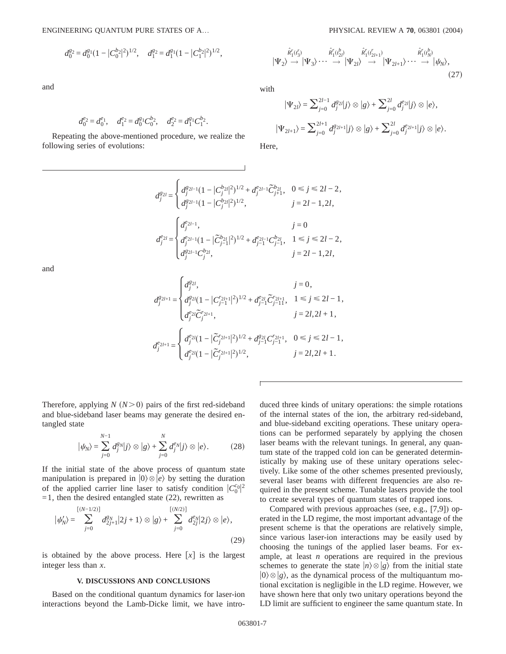$$
d_0^{g_2} = d_0^{g_1} (1 - |C_0^{b_2}|^2)^{1/2}, \quad d_1^{g_2} = d_1^{g_1} (1 - |C_1^{b_2}|^2)^{1/2},
$$

and

$$
d_0^{e_2} = d_0^{e_1}
$$
,  $d_1^{e_2} = d_0^{g_1} C_0^{b_2}$ ,  $d_2^{e_2} = d_1^{g_1} C_1^{b_2}$ .

Repeating the above-mentioned procedure, we realize the following series of evolutions:

$$
|\Psi_2\rangle \stackrel{\hat{\mathcal{R}}_1^r(t_3^r)}{\rightarrow} |\Psi_3\rangle \cdots \stackrel{\hat{\mathcal{R}}_1^r(t_{2l}^b)}{\rightarrow} |\Psi_{2l}\rangle \stackrel{\hat{\mathcal{R}}_1^r(t_{2l+1}^r)}{\rightarrow} |\Psi_{2l+1}\rangle \cdots \stackrel{\hat{\mathcal{R}}_1^r(t_{N}^b)}{\rightarrow} |\psi_N\rangle, \tag{27}
$$

with

$$
|\Psi_{2l}\rangle = \sum_{j=0}^{2l-1} d_j^{g_{2l}}|j\rangle \otimes |g\rangle + \sum_{j=0}^{2l} d_j^{g_{2l}}|j\rangle \otimes |e\rangle,
$$
  

$$
|\Psi_{2l+1}\rangle = \sum_{j=0}^{2l+1} d_j^{g_{2l+1}}|j\rangle \otimes |g\rangle + \sum_{j=0}^{2l} d_j^{g_{2l+1}}|j\rangle \otimes |e\rangle.
$$

Here,

$$
d_j^{g_{2l}} = \begin{cases} d_j^{g_{2l-1}}(1-|C_j^{b_{2l}}|^2)^{1/2} + d_j^{e_{2l-1}}\tilde{C}_{j+1}^{b_{2l}}, & 0 \le j \le 2l-2, \\ d_j^{g_{2l-1}}(1-|C_j^{b_{2l}}|^2)^{1/2}, & j = 2l-1, 2l, \end{cases}
$$
  

$$
d_j^{e_{2l}} = \begin{cases} d_j^{e_{2l-1}}, & j = 0 \\ d_j^{e_{2l-1}}(1-|\tilde{C}_{j-1}^{b_{2l}}|^2)^{1/2} + d_{j-1}^{e_{2l-1}}C_{j-1}^{b_{2l}}, & 1 \le j \le 2l-2, \\ d_j^{g_{2l-1}}C_j^{b_{2l}}, & j = 2l-1, 2l, \end{cases}
$$

and

$$
d_j^{g_{2l+1}} = \begin{cases} d_j^{g_{2l}}, & j = 0, \\ d_j^{g_{2l}}(1 - |C_{j-1}^{r_{2l+1}}|^2)^{1/2} + d_{j-1}^{e_{2l}} \tilde{C}_{j-11}^{r_{2l+1}}, & 1 \le j \le 2l - 1, \\ d_j^{e_{2l}} \tilde{C}_j^{r_{2l+1}}, & j = 2l, 2l + 1, \end{cases}
$$
  

$$
d_j^{e_{2l+1}} = \begin{cases} d_j^{e_{2l}}(1 - |\tilde{C}_j^{r_{2l+1}}|^2)^{1/2} + d_{j-1}^{g_{2l}} C_{j-1}^{r_{2l+1}}, & 0 \le j \le 2l - 1, \\ d_j^{e_{2l}}(1 - |\tilde{C}_j^{r_{2l+1}}|^2)^{1/2}, & j = 2l, 2l + 1. \end{cases}
$$

Therefore, applying  $N(N>0)$  pairs of the first red-sideband and blue-sideband laser beams may generate the desired entangled state

$$
|\psi_N\rangle = \sum_{j=0}^{N-1} d_j^{g_N} |j\rangle \otimes |g\rangle + \sum_{j=0}^{N} d_j^{e_N} |j\rangle \otimes |e\rangle.
$$
 (28)

If the initial state of the above process of quantum state manipulation is prepared in  $|0\rangle \otimes |e\rangle$  by setting the duration of the applied carrier line laser to satisfy condition  $|C_0^{\text{c}}|^2$  $=1$ , then the desired entangled state (22), rewritten as

$$
|\psi'_{N}\rangle = \sum_{j=0}^{[(N-1/2)]} d_{2j+1}^{g_{N}}|2j+1\rangle \otimes |g\rangle + \sum_{j=0}^{[(N/2)]} d_{2j}^{e_{N}}|2j\rangle \otimes |e\rangle,
$$
\n(29)

is obtained by the above process. Here  $\lceil x \rceil$  is the largest integer less than *x*.

## **V. DISCUSSIONS AND CONCLUSIONS**

Based on the conditional quantum dynamics for laser-ion interactions beyond the Lamb-Dicke limit, we have introduced three kinds of unitary operations: the simple rotations of the internal states of the ion, the arbitrary red-sideband, and blue-sideband exciting operations. These unitary operations can be performed separately by applying the chosen laser beams with the relevant tunings. In general, any quantum state of the trapped cold ion can be generated deterministically by making use of these unitary operations selectively. Like some of the other schemes presented previously, several laser beams with different frequencies are also required in the present scheme. Tunable lasers provide the tool to create several types of quantum states of trapped ions.

Compared with previous approaches (see, e.g., [7,9]) operated in the LD regime, the most important advantage of the present scheme is that the operations are relatively simple, since various laser-ion interactions may be easily used by choosing the tunings of the applied laser beams. For example, at least *n* operations are required in the previous schemes to generate the state  $|n\rangle \otimes |g\rangle$  from the initial state  $|0\rangle \otimes |g\rangle$ , as the dynamical process of the multiquantum motional excitation is negligible in the LD regime. However, we have shown here that only two unitary operations beyond the LD limit are sufficient to engineer the same quantum state. In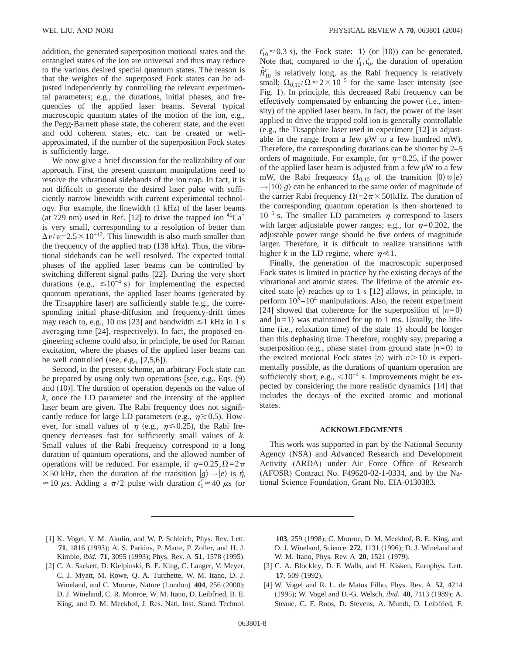addition, the generated superposition motional states and the entangled states of the ion are universal and thus may reduce to the various desired special quantum states. The reason is that the weights of the superposed Fock states can be adjusted independently by controlling the relevant experimental parameters; e.g., the durations, initial phases, and frequencies of the applied laser beams. Several typical macroscopic quantum states of the motion of the ion, e.g., the Pegg-Barnett phase state, the coherent state, and the even and odd coherent states, etc. can be created or wellapproximated, if the number of the superposition Fock states is sufficiently large.

We now give a brief discussion for the realizability of our approach. First, the present quantum manipulations need to resolve the vibrational sidebands of the ion trap. In fact, it is not difficult to generate the desired laser pulse with sufficiently narrow linewidth with current experimental technology. For example, the linewidth (1 kHz) of the laser beams (at 729 nm) used in Ref. [12] to drive the trapped ion  ${}^{40}Ca<sup>+</sup>$ is very small, corresponding to a resolution of better than  $\Delta \nu / \nu$ =2.5 × 10<sup>-12</sup>. This linewidth is also much smaller than the frequency of the applied trap (138 kHz). Thus, the vibrational sidebands can be well resolved. The expected initial phases of the applied laser beams can be controlled by switching different signal paths [22]. During the very short durations (e.g.,  $\leq 10^{-4}$  s) for implementing the expected quantum operations, the applied laser beams (generated by the Ti:sapphire laser) are sufficiently stable (e.g., the corresponding initial phase-diffusion and frequency-drift times may reach to, e.g., 10 ms [23] and bandwidth  $\leq 1$  kHz in 1 s averaging time [24], respectively). In fact, the proposed engineering scheme could also, in principle, be used for Raman excitation, where the phases of the applied laser beams can be well controlled (see, e.g., [2,5,6]).

Second, in the present scheme, an arbitrary Fock state can be prepared by using only two operations [see, e.g., Eqs. (9) and (10)]. The duration of operation depends on the value of *k*, once the LD parameter and the intensity of the applied laser beam are given. The Rabi frequency does not significantly reduce for large LD parameters (e.g.,  $\eta \ge 0.5$ ). However, for small values of  $\eta$  (e.g.,  $\eta \le 0.25$ ), the Rabi frequency decreases fast for sufficiently small values of *k*. Small values of the Rabi frequency correspond to a long duration of quantum operations, and the allowed number of operations will be reduced. For example, if  $\eta=0.25, \Omega=2\pi$  $\times$  50 kHz, then the duration of the transition  $|g\rangle \rightarrow |e\rangle$  is  $t_0^c$  $\approx$  10  $\mu$ s. Adding a  $\pi/2$  pulse with duration  $t_1^r \approx$  40  $\mu$ s (or

 $t_{10}^r \approx 0.3$  s), the Fock state:  $|1\rangle$  (or  $|10\rangle$ ) can be generated. Note that, compared to the  $t_1^r, t_0^r$ , the duration of operation  $\hat{R}_{10}^r$  is relatively long, as the Rabi frequency is relatively small;  $\Omega_{0,10} / \Omega \approx 2 \times 10^{-5}$  for the same laser intensity (see Fig. 1). In principle, this decreased Rabi frequency can be effectively compensated by enhancing the power (i.e., intensity) of the applied laser beam. In fact, the power of the laser applied to drive the trapped cold ion is generally controllable (e.g., the Ti:sapphire laser used in experiment [12] is adjustable in the range from a few  $\mu$ W to a few hundred mW). Therefore, the corresponding durations can be shorter by 2–5 orders of magnitude. For example, for  $\eta=0.25$ , if the power of the applied laser beam is adjusted from a few  $\mu$ W to a few mW, the Rabi frequency  $\Omega_{0,10}$  of the transition  $|0\rangle \otimes |e\rangle$  $\rightarrow$  10)|g) can be enhanced to the same order of magnitude of the carrier Rabi frequency  $\Omega$ (=2 $\pi$ ×50)kHz. The duration of the corresponding quantum operation is then shortened to  $10^{-5}$  s. The smaller LD parameters  $\eta$  correspond to lasers with larger adjustable power ranges; e.g., for  $\eta=0.202$ , the adjustable power range should be five orders of magnitude larger. Therefore, it is difficult to realize transitions with higher *k* in the LD regime, where  $\eta \ll 1$ .

Finally, the generation of the macroscopic superposed Fock states is limited in practice by the existing decays of the vibrational and atomic states. The lifetime of the atomic excited state  $|e\rangle$  reaches up to 1 s [12] allows, in principle, to perform  $10^3 - 10^4$  manipulations. Also, the recent experiment [24] showed that coherence for the superposition of  $|n=0\rangle$ and  $|n=1\rangle$  was maintained for up to 1 ms. Usually, the lifetime (i.e., relaxation time) of the state  $|1\rangle$  should be longer than this dephasing time. Therefore, roughly say, preparing a superposition (e.g., phase state) from ground state  $|n=0\rangle$  to the excited motional Fock states  $|n\rangle$  with  $n > 10$  is experimentally possible, as the durations of quantum operation are sufficiently short, e.g.,  $\leq 10^{-4}$  s. Improvements might be expected by considering the more realistic dynamics [14] that includes the decays of the excited atomic and motional states.

#### **ACKNOWLEDGMENTS**

This work was supported in part by the National Security Agency (NSA) and Advanced Research and Development Activity (ARDA) under Air Force Office of Research (AFOSR) Contract No. F49620-02-1-0334, and by the National Science Foundation, Grant No. EIA-0130383.

- [1] K. Vogel, V. M. Akulin, and W. P. Schleich, Phys. Rev. Lett. **71**, 1816 (1993); A. S. Parkins, P. Marte, P. Zoller, and H. J. Kimble, *ibid.* **71**, 3095 (1993); Phys. Rev. A **51**, 1578 (1995).
- [2] C. A. Sackett, D. Kielpinski, B. E. King, C. Langer, V. Meyer, C. J. Myatt, M. Rowe, Q. A. Turchette, W. M. Itano, D. J. Wineland, and C. Monroe, Nature (London) **404**, 256 (2000); D. J. Wineland, C. R. Monroe, W. M. Itano, D. Leibfried, B. E. King, and D. M. Meekhof, J. Res. Natl. Inst. Stand. Technol.

**103**, 259 (1998); C. Monroe, D. M. Meekhof, B. E. King, and D. J. Wineland, Science **272**, 1131 (1996); D. J. Wineland and W. M. Itano, Phys. Rev. A **20**, 1521 (1979).

- [3] C. A. Blockley, D. F. Walls, and H. Kisken, Europhys. Lett. **17**, 509 (1992).
- [4] W. Vogel and R. L. de Matos Filho, Phys. Rev. A **52**, 4214 (1995); W. Vogel and D.-G. Welsch, *ibid.* **40**, 7113 (1989); A. Steane, C. F. Roos, D. Stevens, A. Mundt, D. Leibfried, F.